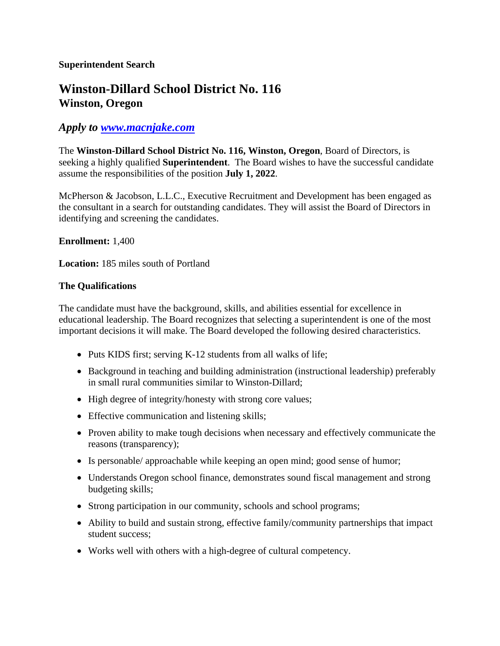# **Winston-Dillard School District No. 116 Winston, Oregon**

# *Apply to [www.macnjake.com](http://www.macnjake.com/)*

The **Winston-Dillard School District No. 116, Winston, Oregon**, Board of Directors, is seeking a highly qualified **Superintendent**. The Board wishes to have the successful candidate assume the responsibilities of the position **July 1, 2022**.

McPherson & Jacobson, L.L.C., Executive Recruitment and Development has been engaged as the consultant in a search for outstanding candidates. They will assist the Board of Directors in identifying and screening the candidates.

## **Enrollment:** 1,400

**Location:** 185 miles south of Portland

### **The Qualifications**

The candidate must have the background, skills, and abilities essential for excellence in educational leadership. The Board recognizes that selecting a superintendent is one of the most important decisions it will make. The Board developed the following desired characteristics.

- Puts KIDS first; serving K-12 students from all walks of life;
- Background in teaching and building administration (instructional leadership) preferably in small rural communities similar to Winston-Dillard;
- High degree of integrity/honesty with strong core values;
- Effective communication and listening skills;
- Proven ability to make tough decisions when necessary and effectively communicate the reasons (transparency);
- Is personable/ approachable while keeping an open mind; good sense of humor;
- Understands Oregon school finance, demonstrates sound fiscal management and strong budgeting skills;
- Strong participation in our community, schools and school programs;
- Ability to build and sustain strong, effective family/community partnerships that impact student success;
- Works well with others with a high-degree of cultural competency.